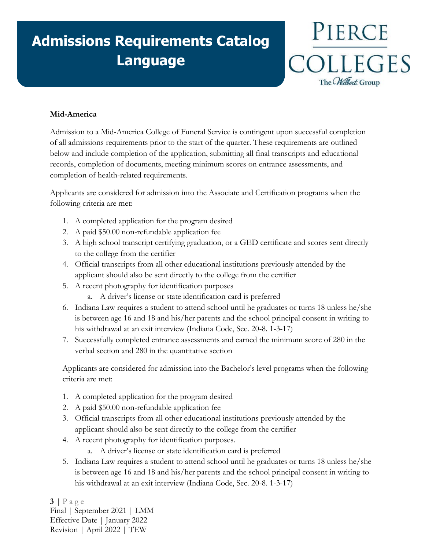## **Admissions Requirements Catalog Language**

PIERCE COLLEGES The CWilbert. Group

## **Mid-America**

Admission to a Mid-America College of Funeral Service is contingent upon successful completion of all admissions requirements prior to the start of the quarter. These requirements are outlined below and include completion of the application, submitting all final transcripts and educational records, completion of documents, meeting minimum scores on entrance assessments, and completion of health-related requirements.

Applicants are considered for admission into the Associate and Certification programs when the following criteria are met:

- 1. A completed application for the program desired
- 2. A paid \$50.00 non-refundable application fee
- 3. A high school transcript certifying graduation, or a GED certificate and scores sent directly to the college from the certifier
- 4. Official transcripts from all other educational institutions previously attended by the applicant should also be sent directly to the college from the certifier
- 5. A recent photography for identification purposes
	- a. A driver's license or state identification card is preferred
- 6. Indiana Law requires a student to attend school until he graduates or turns 18 unless he/she is between age 16 and 18 and his/her parents and the school principal consent in writing to his withdrawal at an exit interview (Indiana Code, Sec. 20-8. 1-3-17)
- 7. Successfully completed entrance assessments and earned the minimum score of 280 in the verbal section and 280 in the quantitative section

Applicants are considered for admission into the Bachelor's level programs when the following criteria are met:

- 1. A completed application for the program desired
- 2. A paid \$50.00 non-refundable application fee
- 3. Official transcripts from all other educational institutions previously attended by the applicant should also be sent directly to the college from the certifier
- 4. A recent photography for identification purposes.
	- a. A driver's license or state identification card is preferred
- 5. Indiana Law requires a student to attend school until he graduates or turns 18 unless he/she is between age 16 and 18 and his/her parents and the school principal consent in writing to his withdrawal at an exit interview (Indiana Code, Sec. 20-8. 1-3-17)